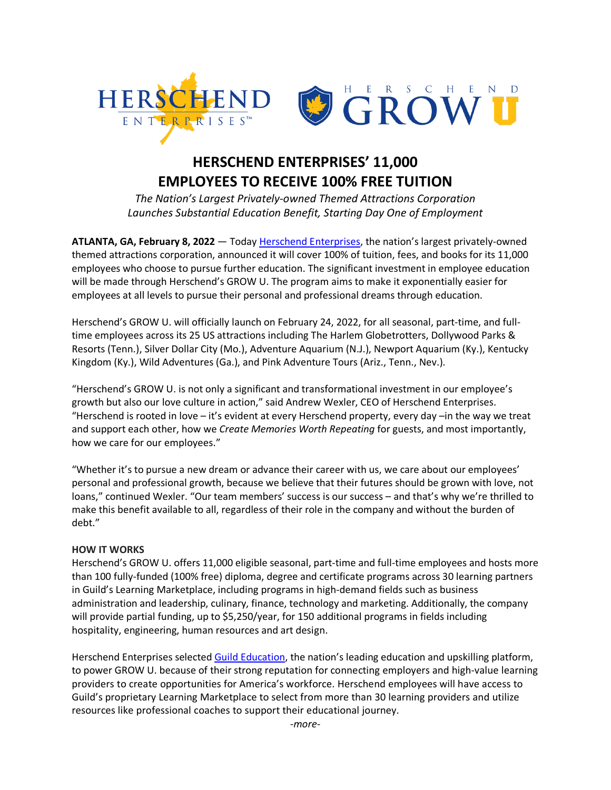

## **HERSCHEND ENTERPRISES' 11,000 EMPLOYEES TO RECEIVE 100% FREE TUITION**

*The Nation's Largest Privately-owned Themed Attractions Corporation Launches Substantial Education Benefit, Starting Day One of Employment*

ATLANTA, GA, February 8, 2022 — Today Herschend Enterprises, the nation's largest privately-owned themed attractions corporation, announced it will cover 100% of tuition, fees, and books for its 11,000 employees who choose to pursue further education. The significant investment in employee education will be made through Herschend's GROW U. The program aims to make it exponentially easier for employees at all levels to pursue their personal and professional dreams through education.

Herschend's GROW U. will officially launch on February 24, 2022, for all seasonal, part-time, and fulltime employees across its 25 US attractions including The Harlem Globetrotters, Dollywood Parks & Resorts (Tenn.), Silver Dollar City (Mo.), Adventure Aquarium (N.J.), Newport Aquarium (Ky.), Kentucky Kingdom (Ky.), Wild Adventures (Ga.), and Pink Adventure Tours (Ariz., Tenn., Nev.).

"Herschend's GROW U. is not only a significant and transformational investment in our employee's growth but also our love culture in action," said Andrew Wexler, CEO of Herschend Enterprises. "Herschend is rooted in love – it's evident at every Herschend property, every day –in the way we treat and support each other, how we *Create Memories Worth Repeating* for guests, and most importantly, how we care for our employees."

"Whether it's to pursue a new dream or advance their career with us, we care about our employees' personal and professional growth, because we believe that their futures should be grown with love, not loans," continued Wexler. "Our team members' success is our success – and that's why we're thrilled to make this benefit available to all, regardless of their role in the company and without the burden of debt."

## **HOW IT WORKS**

Herschend's GROW U. offers 11,000 eligible seasonal, part-time and full-time employees and hosts more than 100 fully-funded (100% free) diploma, degree and certificate programs across 30 learning partners in Guild's Learning Marketplace, including programs in high-demand fields such as business administration and leadership, culinary, finance, technology and marketing. Additionally, the company will provide partial funding, up to \$5,250/year, for 150 additional programs in fields including hospitality, engineering, human resources and art design.

Herschend Enterprises selected Guild Education, the nation's leading education and upskilling platform, to power GROW U. because of their strong reputation for connecting employers and high-value learning providers to create opportunities for America's workforce. Herschend employees will have access to Guild's proprietary Learning Marketplace to select from more than 30 learning providers and utilize resources like professional coaches to support their educational journey.